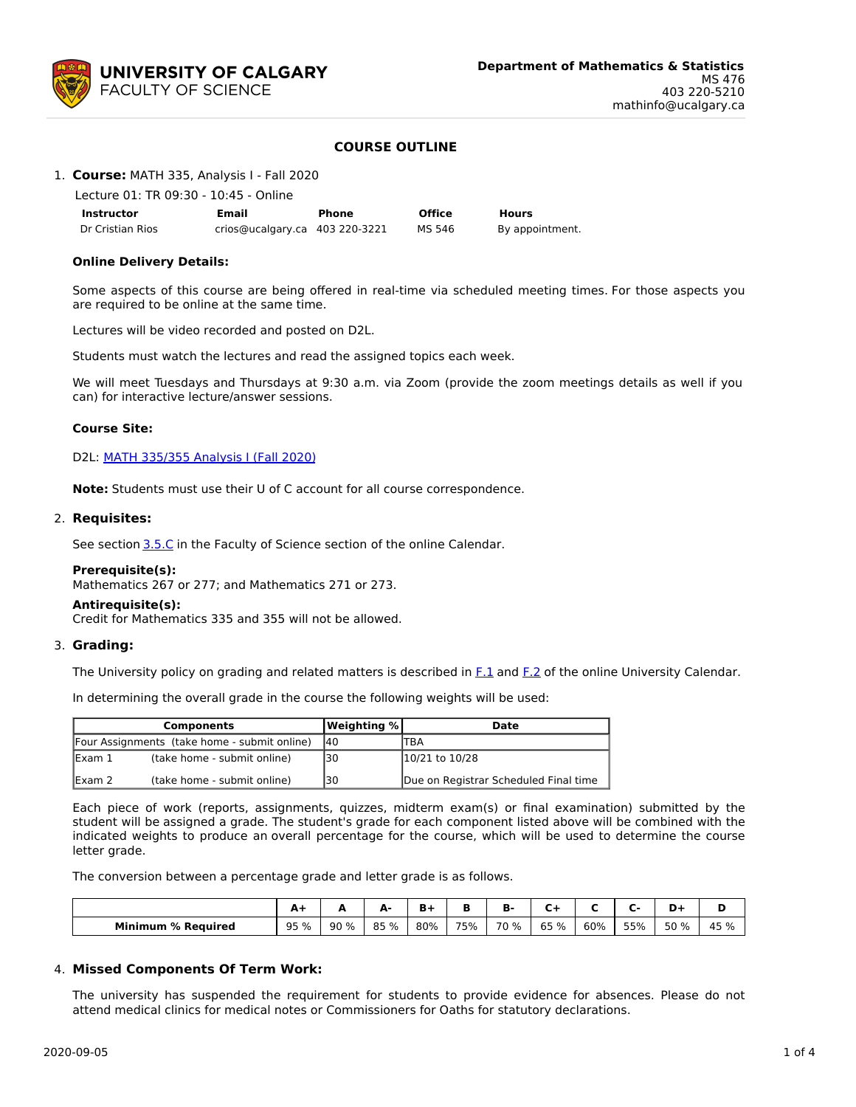

# **COURSE OUTLINE**

1. **Course:** MATH 335, Analysis I - Fall 2020

Lecture 01: TR 09:30 - 10:45 - Online

| <b>Instructor</b> | Email                          | Phone | <b>Office</b> | <b>Hours</b>    |
|-------------------|--------------------------------|-------|---------------|-----------------|
| Dr Cristian Rios  | crios@ucalgary.ca 403 220-3221 |       | MS 546        | By appointment. |

## **Online Delivery Details:**

Some aspects of this course are being offered in real-time via scheduled meeting times. For those aspects you are required to be online at the same time.

Lectures will be video recorded and posted on D2L.

Students must watch the lectures and read the assigned topics each week.

We will meet Tuesdays and Thursdays at 9:30 a.m. via Zoom (provide the zoom meetings details as well if you can) for interactive lecture/answer sessions.

#### **Course Site:**

D2L: MATH [335/355](https://d2l.ucalgary.ca/d2l/home/325645) Analysis I (Fall 2020)

**Note:** Students must use their U of C account for all course correspondence.

#### 2. **Requisites:**

See section [3.5.C](http://www.ucalgary.ca/pubs/calendar/current/sc-3-5.html) in the Faculty of Science section of the online Calendar.

#### **Prerequisite(s):**

Mathematics 267 or 277; and Mathematics 271 or 273.

#### **Antirequisite(s):**

Credit for Mathematics 335 and 355 will not be allowed.

# 3. **Grading:**

The University policy on grading and related matters is described in [F.1](http://www.ucalgary.ca/pubs/calendar/current/f-1.html) and [F.2](http://www.ucalgary.ca/pubs/calendar/current/f-2.html) of the online University Calendar.

In determining the overall grade in the course the following weights will be used:

|                                              | <b>Components</b>           | Weighting % | Date                                  |
|----------------------------------------------|-----------------------------|-------------|---------------------------------------|
| Four Assignments (take home - submit online) |                             | 140         | TBA                                   |
| lExam 1                                      | (take home - submit online) | 30          | 10/21 to 10/28                        |
| lExam 2                                      | (take home - submit online) | 30          | Due on Registrar Scheduled Final time |

Each piece of work (reports, assignments, quizzes, midterm exam(s) or final examination) submitted by the student will be assigned a grade. The student's grade for each component listed above will be combined with the indicated weights to produce an overall percentage for the course, which will be used to determine the course letter grade.

The conversion between a percentage grade and letter grade is as follows.

|                              | --   | - -     | д.<br>- |     |     | n<br>ъ. |      |     |     |      |      |
|------------------------------|------|---------|---------|-----|-----|---------|------|-----|-----|------|------|
| <b>Minimum</b><br>% Reauired | 95 % | %<br>90 | 85 %    | 80% | 75% | 70 %    | 65 % | 60% | 55% | 50 % | 45 % |

# 4. **Missed Components Of Term Work:**

The university has suspended the requirement for students to provide evidence for absences. Please do not attend medical clinics for medical notes or Commissioners for Oaths for statutory declarations.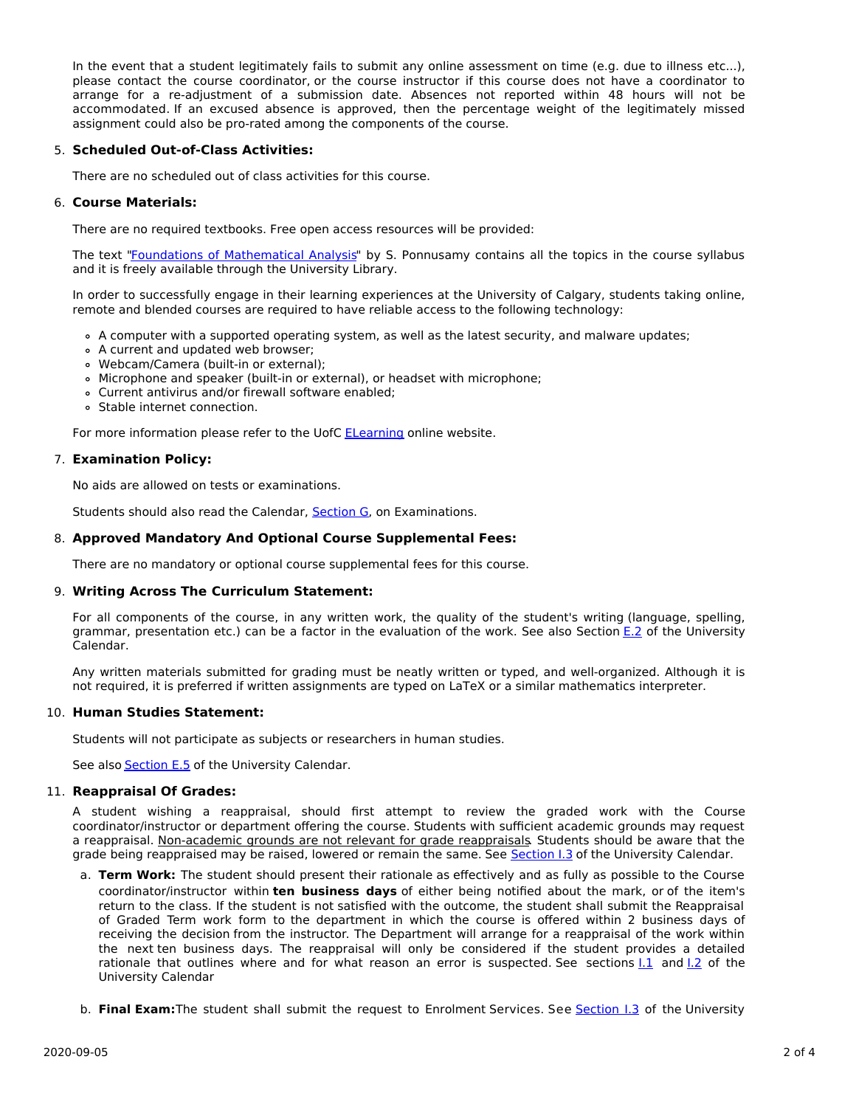In the event that a student legitimately fails to submit any online assessment on time (e.g. due to illness etc...), please contact the course coordinator, or the course instructor if this course does not have a coordinator to arrange for a re-adjustment of a submission date. Absences not reported within 48 hours will not be accommodated. If an excused absence is approved, then the percentage weight of the legitimately missed assignment could also be pro-rated among the components of the course.

# 5. **Scheduled Out-of-Class Activities:**

There are no scheduled out of class activities for this course.

## 6. **Course Materials:**

There are no required textbooks. Free open access resources will be provided:

The text "Foundations of [Mathematical](https://ucalgary-primo.hosted.exlibrisgroup.com/primo-explore/fulldisplay?docid=TN_cdi_askewsholts_vlebooks_9780817682927&context=PC&vid=UCALGARY&lang=en_US&search_scope=EVERYTHING&adaptor=primo_central_multiple_fe&tab=everything&query=any,contains,Foundations%20of%20Mathematical%20Analysis) Analysis" by S. Ponnusamy contains all the topics in the course syllabus and it is freely available through the University Library.

In order to successfully engage in their learning experiences at the University of Calgary, students taking online, remote and blended courses are required to have reliable access to the following technology:

- A computer with a supported operating system, as well as the latest security, and malware updates;
- A current and updated web browser;
- Webcam/Camera (built-in or external);
- Microphone and speaker (built-in or external), or headset with microphone;
- Current antivirus and/or firewall software enabled;
- Stable internet connection.

For more information please refer to the UofC [ELearning](https://elearn.ucalgary.ca/technology-requirements-for-students) online website.

#### 7. **Examination Policy:**

No aids are allowed on tests or examinations.

Students should also read the Calendar, [Section](http://www.ucalgary.ca/pubs/calendar/current/g.html) G, on Examinations.

# 8. **Approved Mandatory And Optional Course Supplemental Fees:**

There are no mandatory or optional course supplemental fees for this course.

# 9. **Writing Across The Curriculum Statement:**

For all components of the course, in any written work, the quality of the student's writing (language, spelling, grammar, presentation etc.) can be a factor in the evaluation of the work. See also Section [E.2](http://www.ucalgary.ca/pubs/calendar/current/e-2.html) of the University Calendar.

Any written materials submitted for grading must be neatly written or typed, and well-organized. Although it is not required, it is preferred if written assignments are typed on LaTeX or a similar mathematics interpreter.

# 10. **Human Studies Statement:**

Students will not participate as subjects or researchers in human studies.

See also **[Section](http://www.ucalgary.ca/pubs/calendar/current/e-5.html) E.5** of the University Calendar.

# 11. **Reappraisal Of Grades:**

A student wishing a reappraisal, should first attempt to review the graded work with the Course coordinator/instructor or department offering the course. Students with sufficient academic grounds may request a reappraisal. Non-academic grounds are not relevant for grade reappraisals. Students should be aware that the grade being reappraised may be raised, lowered or remain the same. See [Section](http://www.ucalgary.ca/pubs/calendar/current/i-3.html) I.3 of the University Calendar.

- a. **Term Work:** The student should present their rationale as effectively and as fully as possible to the Course coordinator/instructor within **ten business days** of either being notified about the mark, or of the item's return to the class. If the student is not satisfied with the outcome, the student shall submit the Reappraisal of Graded Term work form to the department in which the course is offered within 2 business days of receiving the decision from the instructor. The Department will arrange for a reappraisal of the work within the next ten business days. The reappraisal will only be considered if the student provides a detailed rationale that outlines where and for what reason an error is suspected. See sections  $1.1$  and  $1.2$  of the University Calendar
- b. **Final Exam:**The student shall submit the request to Enrolment Services. See [Section](http://www.ucalgary.ca/pubs/calendar/current/i-3.html) I.3 of the University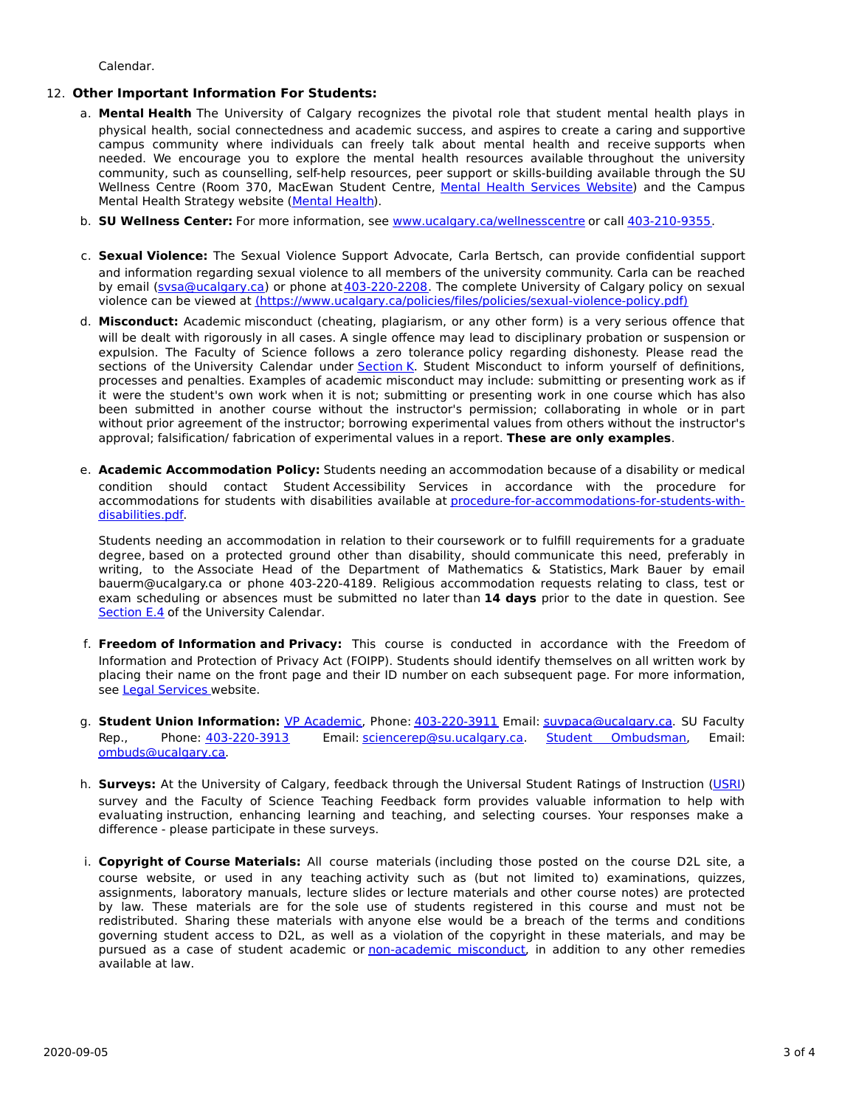Calendar.

# 12. **Other Important Information For Students:**

- a. **Mental Health** The University of Calgary recognizes the pivotal role that student mental health plays in physical health, social connectedness and academic success, and aspires to create a caring and supportive campus community where individuals can freely talk about mental health and receive supports when needed. We encourage you to explore the mental health resources available throughout the university community, such as counselling, self-help resources, peer support or skills-building available through the SU Wellness Centre (Room 370, MacEwan Student Centre, Mental Health [Services](https://www.ucalgary.ca/wellnesscentre/services/mental-health-services) Website) and the Campus Mental Health Strategy website [\(Mental](http://www.ucalgary.ca/mentalhealth) Health).
- b. **SU Wellness Center:** For more information, see [www.ucalgary.ca/wellnesscentre](http://www.ucalgary.ca/wellnesscentre) or call [403-210-9355](tel:4032109355).
- c. **Sexual Violence:** The Sexual Violence Support Advocate, Carla Bertsch, can provide confidential support and information regarding sexual violence to all members of the university community. Carla can be reached by email (sysa@ucalgary.ca) or phone at [403-220-2208](tel:4032202208). The complete University of Calgary policy on sexual violence can be viewed at [\(https://www.ucalgary.ca/policies/files/policies/sexual-violence-policy.pdf\)](https://www.ucalgary.ca/policies/files/policies/sexual-violence-policy.pdf)
- d. **Misconduct:** Academic misconduct (cheating, plagiarism, or any other form) is a very serious offence that will be dealt with rigorously in all cases. A single offence may lead to disciplinary probation or suspension or expulsion. The Faculty of Science follows a zero tolerance policy regarding dishonesty. Please read the sections of the University Calendar under [Section](http://www.ucalgary.ca/pubs/calendar/current/k.html) K. Student Misconduct to inform yourself of definitions, processes and penalties. Examples of academic misconduct may include: submitting or presenting work as if it were the student's own work when it is not; submitting or presenting work in one course which has also been submitted in another course without the instructor's permission; collaborating in whole or in part without prior agreement of the instructor; borrowing experimental values from others without the instructor's approval; falsification/ fabrication of experimental values in a report. **These are only examples**.
- e. **Academic Accommodation Policy:** Students needing an accommodation because of a disability or medical condition should contact Student Accessibility Services in accordance with the procedure for accommodations for students with disabilities available at [procedure-for-accommodations-for-students-with](http://www.ucalgary.ca/policies/files/policies/procedure-for-accommodations-for-students-with-disabilities_0.pdf)disabilities.pdf.

Students needing an accommodation in relation to their coursework or to fulfill requirements for a graduate degree, based on a protected ground other than disability, should communicate this need, preferably in writing, to the Associate Head of the Department of Mathematics & Statistics, Mark Bauer by email bauerm@ucalgary.ca or phone 403-220-4189. Religious accommodation requests relating to class, test or exam scheduling or absences must be submitted no later than **14 days** prior to the date in question. See [Section](http://www.ucalgary.ca/pubs/calendar/current/e-4.html) E.4 of the University Calendar.

- f. **Freedom of Information and Privacy:** This course is conducted in accordance with the Freedom of Information and Protection of Privacy Act (FOIPP). Students should identify themselves on all written work by placing their name on the front page and their ID number on each subsequent page. For more information, see Legal [Services](http://www.ucalgary.ca/legalservices/foip) website.
- g. **Student Union Information:** VP [Academic](http://www.su.ucalgary.ca/contact), Phone: [403-220-3911](tel:4032203911) Email: [suvpaca@ucalgary.ca](mailto:suvpaca@ucalgary.ca). SU Faculty Rep., Phone: [403-220-3913](tel:4032203913) Email: [sciencerep@su.ucalgary.ca](mailto:sciencerep@su.ucalgary.ca). Student [Ombudsman](https://www.ucalgary.ca/ombuds/), Email: [ombuds@ucalgary.ca](mailto:%20ombuds@ucalgary.ca).
- h. **Surveys:** At the University of Calgary, feedback through the Universal Student Ratings of Instruction [\(USRI](http://www.ucalgary.ca/usri)) survey and the Faculty of Science Teaching Feedback form provides valuable information to help with evaluating instruction, enhancing learning and teaching, and selecting courses. Your responses make a difference - please participate in these surveys.
- i. **Copyright of Course Materials:** All course materials (including those posted on the course D2L site, a course website, or used in any teaching activity such as (but not limited to) examinations, quizzes, assignments, laboratory manuals, lecture slides or lecture materials and other course notes) are protected by law. These materials are for the sole use of students registered in this course and must not be redistributed. Sharing these materials with anyone else would be a breach of the terms and conditions governing student access to D2L, as well as a violation of the copyright in these materials, and may be pursued as a case of student academic or [non-academic](https://www.ucalgary.ca/conduct/policy/non-academic-misconduct-policy) misconduct, in addition to any other remedies available at law.